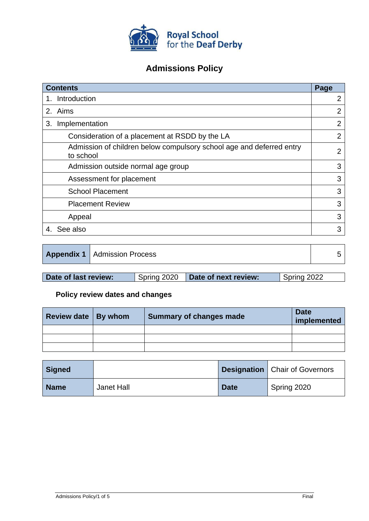

# **Admissions Policy**

| <b>Contents</b>                                                                   | Page           |
|-----------------------------------------------------------------------------------|----------------|
| Introduction                                                                      | $\overline{2}$ |
| 2. Aims                                                                           | 2              |
| Implementation<br>3.                                                              | $\overline{2}$ |
| Consideration of a placement at RSDD by the LA                                    | $\overline{2}$ |
| Admission of children below compulsory school age and deferred entry<br>to school | 2              |
| Admission outside normal age group                                                | 3              |
| Assessment for placement                                                          | 3              |
| <b>School Placement</b>                                                           | 3              |
| <b>Placement Review</b>                                                           | 3              |
| Appeal                                                                            | 3              |
| See also                                                                          | 3              |

| <b>Appendix 1</b> Admission Process |  |
|-------------------------------------|--|
|-------------------------------------|--|

| Date of last review: | Spring 2020 | Date of next review: | Spring 2022 |
|----------------------|-------------|----------------------|-------------|
|                      |             |                      |             |

# **Policy review dates and changes**

| Review date   By whom | <b>Summary of changes made</b> | <b>Date</b><br>implemented |
|-----------------------|--------------------------------|----------------------------|
|                       |                                |                            |
|                       |                                |                            |
|                       |                                |                            |

| Signed      |            |             | <b>Designation</b>   Chair of Governors |
|-------------|------------|-------------|-----------------------------------------|
| <b>Name</b> | Janet Hall | <b>Date</b> | Spring 2020                             |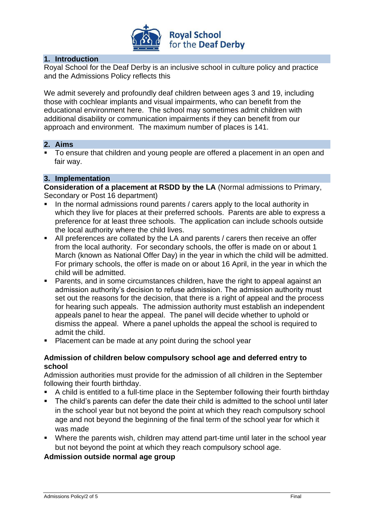

## **1. Introduction**

Royal School for the Deaf Derby is an inclusive school in culture policy and practice and the Admissions Policy reflects this

We admit severely and profoundly deaf children between ages 3 and 19, including those with cochlear implants and visual impairments, who can benefit from the educational environment here. The school may sometimes admit children with additional disability or communication impairments if they can benefit from our approach and environment. The maximum number of places is 141.

#### **2. Aims**

■ To ensure that children and young people are offered a placement in an open and fair way.

#### **3. Implementation**

**Consideration of a placement at RSDD by the LA** (Normal admissions to Primary, Secondary or Post 16 department)

- In the normal admissions round parents / carers apply to the local authority in which they live for places at their preferred schools. Parents are able to express a preference for at least three schools. The application can include schools outside the local authority where the child lives.
- All preferences are collated by the LA and parents / carers then receive an offer from the local authority. For secondary schools, the offer is made on or about 1 March (known as National Offer Day) in the year in which the child will be admitted. For primary schools, the offer is made on or about 16 April, in the year in which the child will be admitted.
- Parents, and in some circumstances children, have the right to appeal against an admission authority's decision to refuse admission. The admission authority must set out the reasons for the decision, that there is a right of appeal and the process for hearing such appeals. The admission authority must establish an independent appeals panel to hear the appeal. The panel will decide whether to uphold or dismiss the appeal. Where a panel upholds the appeal the school is required to admit the child.
- Placement can be made at any point during the school year

## **Admission of children below compulsory school age and deferred entry to school**

Admission authorities must provide for the admission of all children in the September following their fourth birthday.

- A child is entitled to a full-time place in the September following their fourth birthday
- The child's parents can defer the date their child is admitted to the school until later in the school year but not beyond the point at which they reach compulsory school age and not beyond the beginning of the final term of the school year for which it was made
- Where the parents wish, children may attend part-time until later in the school year but not beyond the point at which they reach compulsory school age.

# **Admission outside normal age group**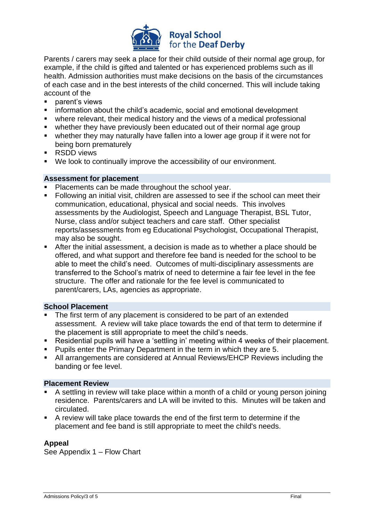

Parents / carers may seek a place for their child outside of their normal age group, for example, if the child is gifted and talented or has experienced problems such as ill health. Admission authorities must make decisions on the basis of the circumstances of each case and in the best interests of the child concerned. This will include taking account of the

- parent's views
- information about the child's academic, social and emotional development
- where relevant, their medical history and the views of a medical professional
- whether they have previously been educated out of their normal age group
- whether they may naturally have fallen into a lower age group if it were not for being born prematurely
- RSDD views
- We look to continually improve the accessibility of our environment.

#### **Assessment for placement**

- Placements can be made throughout the school year.
- Following an initial visit, children are assessed to see if the school can meet their communication, educational, physical and social needs. This involves assessments by the Audiologist, Speech and Language Therapist, BSL Tutor, Nurse, class and/or subject teachers and care staff. Other specialist reports/assessments from eg Educational Psychologist, Occupational Therapist, may also be sought.
- After the initial assessment, a decision is made as to whether a place should be offered, and what support and therefore fee band is needed for the school to be able to meet the child's need. Outcomes of multi-disciplinary assessments are transferred to the School's matrix of need to determine a fair fee level in the fee structure. The offer and rationale for the fee level is communicated to parent/carers, LAs, agencies as appropriate.

#### **School Placement**

- The first term of any placement is considered to be part of an extended assessment. A review will take place towards the end of that term to determine if the placement is still appropriate to meet the child's needs.
- Residential pupils will have a 'settling in' meeting within 4 weeks of their placement.
- Pupils enter the Primary Department in the term in which they are 5.
- All arrangements are considered at Annual Reviews/EHCP Reviews including the banding or fee level.

#### **Placement Review**

- A settling in review will take place within a month of a child or young person joining residence. Parents/carers and LA will be invited to this. Minutes will be taken and circulated.
- A review will take place towards the end of the first term to determine if the placement and fee band is still appropriate to meet the child's needs.

## **Appeal**

See Appendix 1 – Flow Chart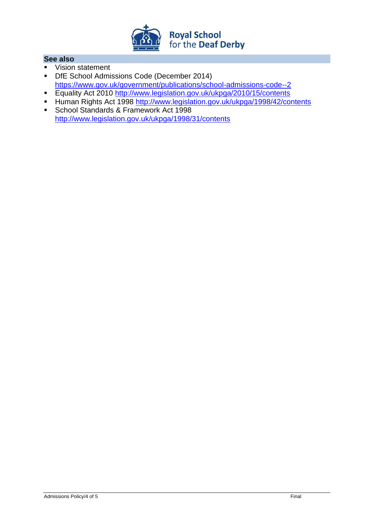

## **See also**

- Vision statement
- **DfE School Admissions Code (December 2014)** <https://www.gov.uk/government/publications/school-admissions-code--2>
- Equality Act 2010 <http://www.legislation.gov.uk/ukpga/2010/15/contents>
- Human Rights Act 1998 <http://www.legislation.gov.uk/ukpga/1998/42/contents>
- School Standards & Framework Act 1998 <http://www.legislation.gov.uk/ukpga/1998/31/contents>